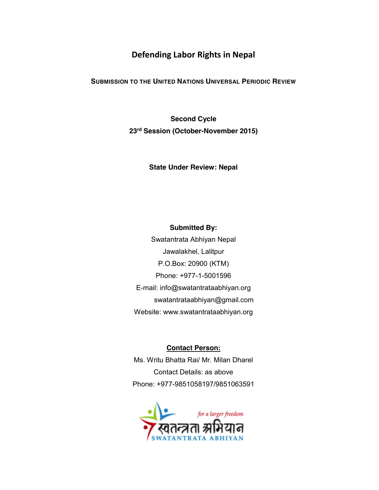# **Defending Labor Rights in Nepal**

# **SUBMISSION TO THE UNITED NATIONS UNIVERSAL PERIODIC REVIEW**

**Second Cycle 23rd Session (October-November 2015)**

**State Under Review: Nepal**

## **Submitted By:**

Swatantrata Abhiyan Nepal Jawalakhel, Lalitpur P.O.Box: 20900 (KTM) Phone: +977-1-5001596 E-mail: info@swatantrataabhiyan.org swatantrataabhiyan@gmail.com Website: www.swatantrataabhiyan.org

## **Contact Person:**

Ms. Writu Bhatta Rai/ Mr. Milan Dharel Contact Details: as above Phone: +977-9851058197/9851063591

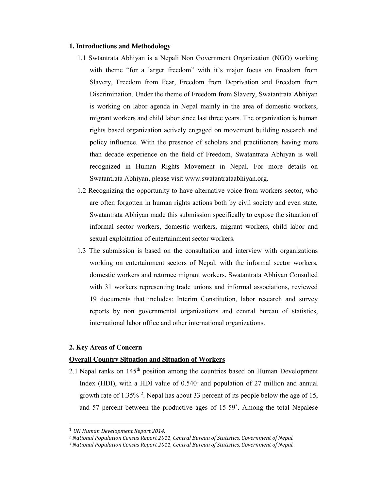#### **1. Introductions and Methodology**

- 1.1 Swtantrata Abhiyan is a Nepali Non Government Organization (NGO) working with theme "for a larger freedom" with it's major focus on Freedom from Slavery, Freedom from Fear, Freedom from Deprivation and Freedom from Discrimination. Under the theme of Freedom from Slavery, Swatantrata Abhiyan is working on labor agenda in Nepal mainly in the area of domestic workers, migrant workers and child labor since last three years. The organization is human rights based organization actively engaged on movement building research and policy influence. With the presence of scholars and practitioners having more than decade experience on the field of Freedom, Swatantrata Abhiyan is well recognized in Human Rights Movement in Nepal. For more details on Swatantrata Abhiyan, please visit www.swatantrataabhiyan.org.
- 1.2 Recognizing the opportunity to have alternative voice from workers sector, who are often forgotten in human rights actions both by civil society and even state, Swatantrata Abhiyan made this submission specifically to expose the situation of informal sector workers, domestic workers, migrant workers, child labor and sexual exploitation of entertainment sector workers.
- 1.3 The submission is based on the consultation and interview with organizations working on entertainment sectors of Nepal, with the informal sector workers, domestic workers and returnee migrant workers. Swatantrata Abhiyan Consulted with 31 workers representing trade unions and informal associations, reviewed 19 documents that includes: Interim Constitution, labor research and survey reports by non governmental organizations and central bureau of statistics, international labor office and other international organizations.

## **2. Key Areas of Concern**

### **Overall Country Situation and Situation of Workers**

2.1 Nepal ranks on 145<sup>th</sup> position among the countries based on Human Development Index (HDI), with a HDI value of  $0.540<sup>1</sup>$  and population of 27 million and annual growth rate of  $1.35\%$ <sup>2</sup>. Nepal has about 33 percent of its people below the age of 15, and 57 percent between the productive ages of  $15-59<sup>3</sup>$ . Among the total Nepalese

 <sup>1</sup> *UN Human Development Report 2014.*

*<sup>2</sup> National Population Census Report 2011, Central Bureau of Statistics, Government of Nepal.*

*<sup>3</sup> National Population Census Report 2011, Central Bureau of Statistics, Government of Nepal.*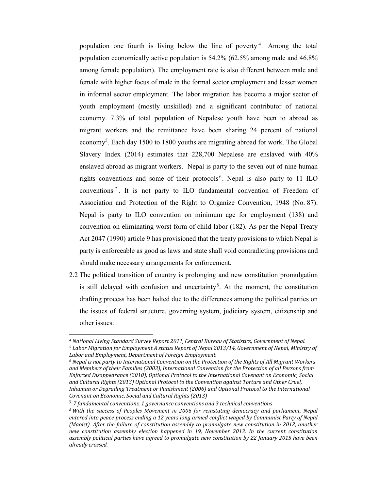population one fourth is living below the line of poverty<sup>4</sup>. Among the total population economically active population is 54.2% (62.5% among male and 46.8% among female population). The employment rate is also different between male and female with higher focus of male in the formal sector employment and lesser women in informal sector employment. The labor migration has become a major sector of youth employment (mostly unskilled) and a significant contributor of national economy. 7.3% of total population of Nepalese youth have been to abroad as migrant workers and the remittance have been sharing 24 percent of national economy<sup>5</sup>. Each day 1500 to 1800 youths are migrating abroad for work. The Global Slavery Index (2014) estimates that 228,700 Nepalese are enslaved with 40% enslaved abroad as migrant workers. Nepal is party to the seven out of nine human rights conventions and some of their protocols<sup>6</sup>. Nepal is also party to 11 ILO conventions <sup>7</sup> . It is not party to ILO fundamental convention of Freedom of Association and Protection of the Right to Organize Convention, 1948 (No. 87). Nepal is party to ILO convention on minimum age for employment (138) and convention on eliminating worst form of child labor (182). As per the Nepal Treaty Act 2047 (1990) article 9 has provisioned that the treaty provisions to which Nepal is party is enforceable as good as laws and state shall void contradicting provisions and should make necessary arrangements for enforcement.

2.2 The political transition of country is prolonging and new constitution promulgation is still delayed with confusion and uncertainty<sup>8</sup>. At the moment, the constitution drafting process has been halted due to the differences among the political parties on the issues of federal structure, governing system, judiciary system, citizenship and other issues.

l

*<sup>4</sup> National Living Standard Survey Report 2011, Central Bureau of Statistics, Government of Nepal. <sup>5</sup> Labor Migration for Employment A status Report of Nepal 2013/14, Government of Nepal, Ministry of Labor and Employment, Department of Foreign Employment.*

*<sup>6</sup> Nepal is not party to International Convention on the Protection of the Rights of All Migrant Workers and Members of their Families (2003), International Convention for the Protection of all Persons from Enforced Disappearance (2010), Optional Protocol to the International Covenant on Economic, Social and Cultural Rights (2013) Optional Protocol to the Convention against Torture and Other Cruel, Inhuman or Degrading Treatment or Punishment (2006) and Optional Protocol to the International Covenant on Economic, Social and Cultural Rights (2013)*

<sup>7</sup> *7 fundamental conventions, 1 governance conventions and 3 technical conventions*

*<sup>8</sup> With the success of Peoples Movement in 2006 for reinstating democracy and parliament, Nepal entered into peace process ending a 12 years long armed conflict waged by Communist Party of Nepal (Maoist). After the failure of constitution assembly to promulgate new constitution in 2012, another new constitution assembly election happened in 19, November 2013. In the current constitution assembly political parties have agreed to promulgate new constitution by 22 January 2015 have been already crossed.*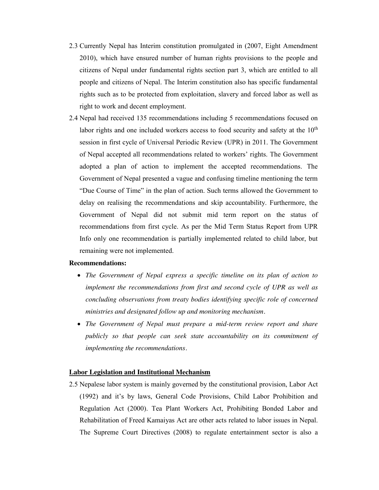- 2.3 Currently Nepal has Interim constitution promulgated in (2007, Eight Amendment 2010), which have ensured number of human rights provisions to the people and citizens of Nepal under fundamental rights section part 3, which are entitled to all people and citizens of Nepal. The Interim constitution also has specific fundamental rights such as to be protected from exploitation, slavery and forced labor as well as right to work and decent employment.
- 2.4 Nepal had received 135 recommendations including 5 recommendations focused on labor rights and one included workers access to food security and safety at the  $10<sup>th</sup>$ session in first cycle of Universal Periodic Review (UPR) in 2011. The Government of Nepal accepted all recommendations related to workers' rights. The Government adopted a plan of action to implement the accepted recommendations. The Government of Nepal presented a vague and confusing timeline mentioning the term "Due Course of Time" in the plan of action. Such terms allowed the Government to delay on realising the recommendations and skip accountability. Furthermore, the Government of Nepal did not submit mid term report on the status of recommendations from first cycle. As per the Mid Term Status Report from UPR Info only one recommendation is partially implemented related to child labor, but remaining were not implemented.

#### **Recommendations:**

- The Government of Nepal express a specific timeline on its plan of action to *implement the recommendations from first and second cycle of UPR as well as concluding observations from treaty bodies identifying specific role of concerned ministries and designated follow up and monitoring mechanism.*
- x *The Government of Nepal must prepare a mid-term review report and share publicly so that people can seek state accountability on its commitment of implementing the recommendations.*

### **Labor Legislation and Institutional Mechanism**

2.5 Nepalese labor system is mainly governed by the constitutional provision, Labor Act (1992) and it's by laws, General Code Provisions, Child Labor Prohibition and Regulation Act (2000). Tea Plant Workers Act, Prohibiting Bonded Labor and Rehabilitation of Freed Kamaiyas Act are other acts related to labor issues in Nepal. The Supreme Court Directives (2008) to regulate entertainment sector is also a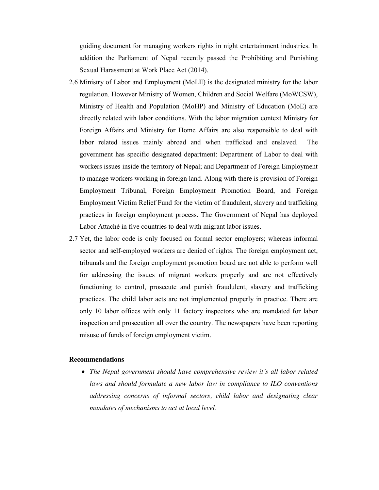guiding document for managing workers rights in night entertainment industries. In addition the Parliament of Nepal recently passed the Prohibiting and Punishing Sexual Harassment at Work Place Act (2014).

- 2.6 Ministry of Labor and Employment (MoLE) is the designated ministry for the labor regulation. However Ministry of Women, Children and Social Welfare (MoWCSW), Ministry of Health and Population (MoHP) and Ministry of Education (MoE) are directly related with labor conditions. With the labor migration context Ministry for Foreign Affairs and Ministry for Home Affairs are also responsible to deal with labor related issues mainly abroad and when trafficked and enslaved. The government has specific designated department: Department of Labor to deal with workers issues inside the territory of Nepal; and Department of Foreign Employment to manage workers working in foreign land. Along with there is provision of Foreign Employment Tribunal, Foreign Employment Promotion Board, and Foreign Employment Victim Relief Fund for the victim of fraudulent, slavery and trafficking practices in foreign employment process. The Government of Nepal has deployed Labor Attaché in five countries to deal with migrant labor issues.
- 2.7 Yet, the labor code is only focused on formal sector employers; whereas informal sector and self-employed workers are denied of rights. The foreign employment act, tribunals and the foreign employment promotion board are not able to perform well for addressing the issues of migrant workers properly and are not effectively functioning to control, prosecute and punish fraudulent, slavery and trafficking practices. The child labor acts are not implemented properly in practice. There are only 10 labor offices with only 11 factory inspectors who are mandated for labor inspection and prosecution all over the country. The newspapers have been reporting misuse of funds of foreign employment victim.

#### **Recommendations**

x *The Nepal government should have comprehensive review it's all labor related laws and should formulate a new labor law in compliance to ILO conventions addressing concerns of informal sectors, child labor and designating clear mandates of mechanisms to act at local level.*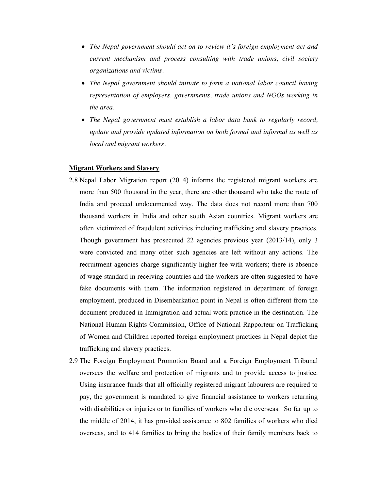- x *The Nepal government should act on to review it's foreign employment act and current mechanism and process consulting with trade unions, civil society organizations and victims.*
- x *The Nepal government should initiate to form a national labor council having representation of employers, governments, trade unions and NGOs working in the area.*
- x *The Nepal government must establish a labor data bank to regularly record, update and provide updated information on both formal and informal as well as local and migrant workers.*

## **Migrant Workers and Slavery**

- 2.8 Nepal Labor Migration report (2014) informs the registered migrant workers are more than 500 thousand in the year, there are other thousand who take the route of India and proceed undocumented way. The data does not record more than 700 thousand workers in India and other south Asian countries. Migrant workers are often victimized of fraudulent activities including trafficking and slavery practices. Though government has prosecuted 22 agencies previous year (2013/14), only 3 were convicted and many other such agencies are left without any actions. The recruitment agencies charge significantly higher fee with workers; there is absence of wage standard in receiving countries and the workers are often suggested to have fake documents with them. The information registered in department of foreign employment, produced in Disembarkation point in Nepal is often different from the document produced in Immigration and actual work practice in the destination. The National Human Rights Commission, Office of National Rapporteur on Trafficking of Women and Children reported foreign employment practices in Nepal depict the trafficking and slavery practices.
- 2.9 The Foreign Employment Promotion Board and a Foreign Employment Tribunal oversees the welfare and protection of migrants and to provide access to justice. Using insurance funds that all officially registered migrant labourers are required to pay, the government is mandated to give financial assistance to workers returning with disabilities or injuries or to families of workers who die overseas. So far up to the middle of 2014, it has provided assistance to 802 families of workers who died overseas, and to 414 families to bring the bodies of their family members back to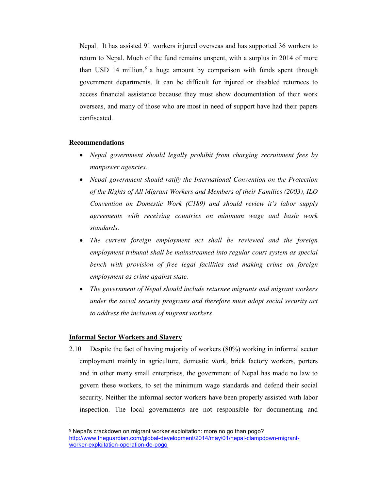Nepal. It has assisted 91 workers injured overseas and has supported 36 workers to return to Nepal. Much of the fund remains unspent, with a surplus in 2014 of more than USD 14 million,  $9a$  huge amount by comparison with funds spent through government departments. It can be difficult for injured or disabled returnees to access financial assistance because they must show documentation of their work overseas, and many of those who are most in need of support have had their papers confiscated.

## **Recommendations**

- *Nepal government should legally prohibit from charging recruitment fees by manpower agencies.*
- *Nepal government should ratify the International Convention on the Protection of the Rights of All Migrant Workers and Members of their Families (2003), ILO Convention on Domestic Work (C189) and should review it's labor supply agreements with receiving countries on minimum wage and basic work standards.*
- The current foreign employment act shall be reviewed and the foreign *employment tribunal shall be mainstreamed into regular court system as special bench with provision of free legal facilities and making crime on foreign employment as crime against state.*
- x *The government of Nepal should include returnee migrants and migrant workers under the social security programs and therefore must adopt social security act to address the inclusion of migrant workers.*

### **Informal Sector Workers and Slavery**

l

2.10 Despite the fact of having majority of workers (80%) working in informal sector employment mainly in agriculture, domestic work, brick factory workers, porters and in other many small enterprises, the government of Nepal has made no law to govern these workers, to set the minimum wage standards and defend their social security. Neither the informal sector workers have been properly assisted with labor inspection. The local governments are not responsible for documenting and

<sup>9</sup> Nepal's crackdown on migrant worker exploitation: more no go than pogo? http://www.theguardian.com/global-development/2014/may/01/nepal-clampdown-migrantworker-exploitation-operation-de-pogo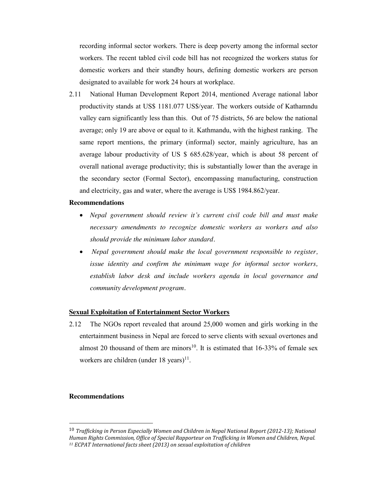recording informal sector workers. There is deep poverty among the informal sector workers. The recent tabled civil code bill has not recognized the workers status for domestic workers and their standby hours, defining domestic workers are person designated to available for work 24 hours at workplace.

2.11 National Human Development Report 2014, mentioned Average national labor productivity stands at US\$ 1181.077 US\$/year. The workers outside of Kathamndu valley earn significantly less than this. Out of 75 districts, 56 are below the national average; only 19 are above or equal to it. Kathmandu, with the highest ranking. The same report mentions, the primary (informal) sector, mainly agriculture, has an average labour productivity of US \$ 685.628/year, which is about 58 percent of overall national average productivity; this is substantially lower than the average in the secondary sector (Formal Sector), encompassing manufacturing, construction and electricity, gas and water, where the average is US\$ 1984.862/year.

#### **Recommendations**

- x *Nepal government should review it's current civil code bill and must make necessary amendments to recognize domestic workers as workers and also should provide the minimum labor standard.*
- *Nepal government should make the local government responsible to register, issue identity and confirm the minimum wage for informal sector workers, establish labor desk and include workers agenda in local governance and community development program.*

#### **Sexual Exploitation of Entertainment Sector Workers**

2.12 The NGOs report revealed that around 25,000 women and girls working in the entertainment business in Nepal are forced to serve clients with sexual overtones and almost 20 thousand of them are minors<sup>10</sup>. It is estimated that  $16-33\%$  of female sex workers are children (under 18 years)<sup>11</sup>.

## **Recommendations**

 <sup>10</sup> *Trafficking in Person Especially Women and Children in Nepal National Report (2012-13); National Human Rights Commission, Office of Special Rapporteur on Trafficking in Women and Children, Nepal. 11 ECPAT International facts sheet (2013) on sexual exploitation of children*